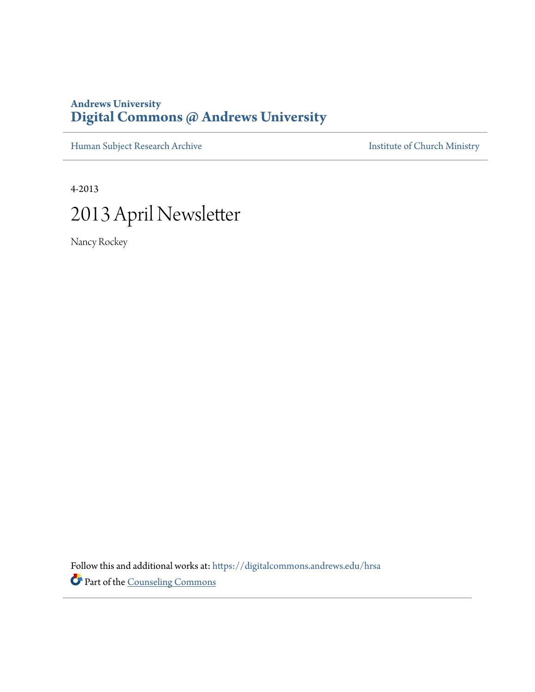## **Andrews University [Digital Commons @ Andrews University](https://digitalcommons.andrews.edu/?utm_source=digitalcommons.andrews.edu%2Fhrsa%2F183&utm_medium=PDF&utm_campaign=PDFCoverPages)**

[Human Subject Research Archive](https://digitalcommons.andrews.edu/hrsa?utm_source=digitalcommons.andrews.edu%2Fhrsa%2F183&utm_medium=PDF&utm_campaign=PDFCoverPages) **[Institute of Church Ministry](https://digitalcommons.andrews.edu/icm?utm_source=digitalcommons.andrews.edu%2Fhrsa%2F183&utm_medium=PDF&utm_campaign=PDFCoverPages)** 

4-2013 2013 April Newsletter

Nancy Rockey

Follow this and additional works at: [https://digitalcommons.andrews.edu/hrsa](https://digitalcommons.andrews.edu/hrsa?utm_source=digitalcommons.andrews.edu%2Fhrsa%2F183&utm_medium=PDF&utm_campaign=PDFCoverPages) Part of the [Counseling Commons](http://network.bepress.com/hgg/discipline/1268?utm_source=digitalcommons.andrews.edu%2Fhrsa%2F183&utm_medium=PDF&utm_campaign=PDFCoverPages)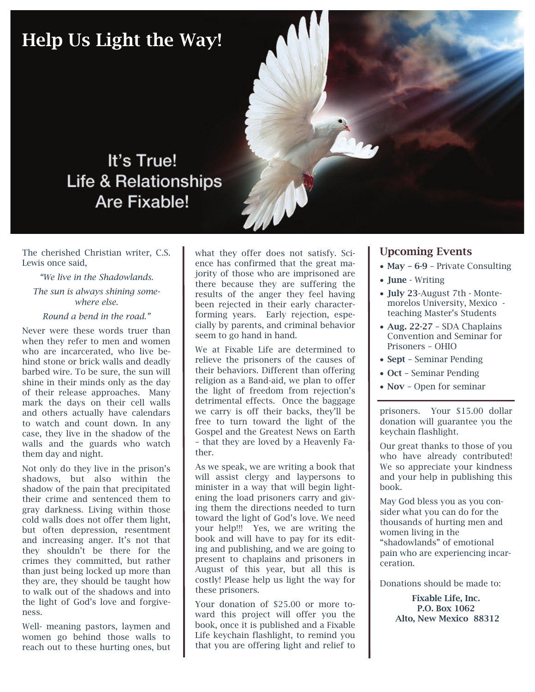# Help Us Light the Way! It's True! **Life & Relationships** Are Fixable!

The cherished Christian writer, C.S. Lewis once said,

### *"We live in the Shadowlands.*

## *The sun is always shining somewhere else.*

#### *Round a bend in the road."*

Never were these words truer than when they refer to men and women who are incarcerated, who live behind stone or brick walls and deadly barbed wire. To be sure, the sun will shine in their minds only as the day of their release approaches. Many mark the days on their cell walls and others actually have calendars to watch and count down. In any case, they live in the shadow of the walls and the guards who watch them day and night.

Not only do they live in the prison's shadows, but also within the shadow of the pain that precipitated their crime and sentenced them to gray darkness. Living within those cold walls does not offer them light, but often depression, resentment and increasing anger. It's not that they shouldn't be there for the crimes they committed, but rather than just being locked up more than they are, they should be taught how to walk out of the shadows and into the light of God's love and forgiveness.

Well- meaning pastors, laymen and women go behind those walls to reach out to these hurting ones, but

what they offer does not satisfy. Science has confirmed that the great majority of those who are imprisoned are there because they are suffering the results of the anger they feel having been rejected in their early characterforming years. Early rejection, especially by parents, and criminal behavior seem to go hand in hand.

We at Fixable Life are determined to relieve the prisoners of the causes of their behaviors. Different than offering religion as a Band-aid, we plan to offer the light of freedom from rejection's detrimental effects. Once the baggage we carry is off their backs, they'll be free to turn toward the light of the Gospel and the Greatest News on Earth – that they are loved by a Heavenly Father.

As we speak, we are writing a book that will assist clergy and laypersons to minister in a way that will begin lightening the load prisoners carry and giving them the directions needed to turn toward the light of God's love. We need your help!!! Yes, we are writing the book and will have to pay for its editing and publishing, and we are going to present to chaplains and prisoners in August of this year, but all this is costly! Please help us light the way for these prisoners.

Your donation of \$25.00 or more toward this project will offer you the book, once it is published and a Fixable Life keychain flashlight, to remind you that you are offering light and relief to

## Upcoming Events

- May 6-9 Private Consulting
- June Writing
- July 23-August 7th Montemorelos University, Mexico teaching Master's Students
- Aug. 22-27 SDA Chaplains Convention and Seminar for Prisoners – OHIO
- Sept Seminar Pending
- Oct Seminar Pending
- Nov Open for seminar

prisoners. Your \$15.00 dollar donation will guarantee you the keychain flashlight.

Our great thanks to those of you who have already contributed! We so appreciate your kindness and your help in publishing this book.

May God bless you as you consider what you can do for the thousands of hurting men and women living in the "shadowlands" of emotional pain who are experiencing incarceration.

Donations should be made to:

Fixable Life, Inc. P.O. Box 1062 Alto, New Mexico 88312